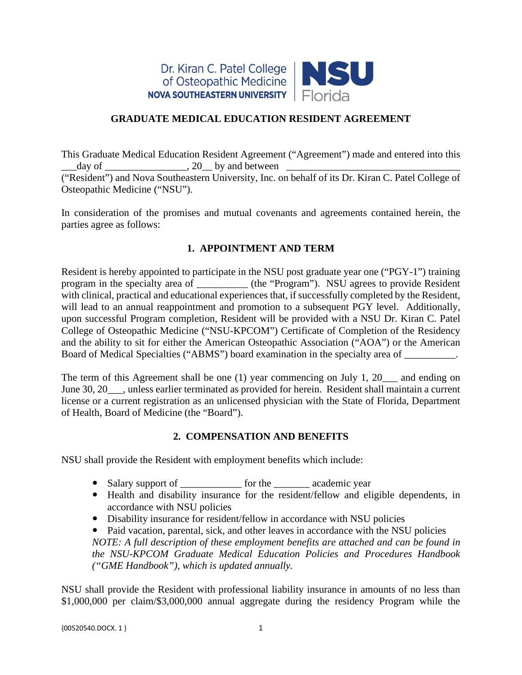

### **GRADUATE MEDICAL EDUCATION RESIDENT AGREEMENT**

This Graduate Medical Education Resident Agreement ("Agreement") made and entered into this \_\_\_day of \_\_\_\_\_\_\_\_\_\_\_\_\_\_\_\_, 20\_\_ by and between \_\_\_\_\_\_\_\_\_\_\_\_\_\_\_\_\_\_\_\_\_\_\_\_\_\_\_\_\_\_\_\_\_\_ ("Resident") and Nova Southeastern University, Inc. on behalf of its Dr. Kiran C. Patel College of Osteopathic Medicine ("NSU").

In consideration of the promises and mutual covenants and agreements contained herein, the parties agree as follows:

# **1. APPOINTMENT AND TERM**

Resident is hereby appointed to participate in the NSU post graduate year one ("PGY-1") training program in the specialty area of \_\_\_\_\_\_\_\_\_\_ (the "Program"). NSU agrees to provide Resident with clinical, practical and educational experiences that, if successfully completed by the Resident, will lead to an annual reappointment and promotion to a subsequent PGY level. Additionally, upon successful Program completion, Resident will be provided with a NSU Dr. Kiran C. Patel College of Osteopathic Medicine ("NSU-KPCOM") Certificate of Completion of the Residency and the ability to sit for either the American Osteopathic Association ("AOA") or the American Board of Medical Specialties ("ABMS") board examination in the specialty area of \_\_\_\_\_\_\_\_\_.

The term of this Agreement shall be one  $(1)$  year commencing on July 1, 20  $\ldots$  and ending on June 30, 20\_\_\_, unless earlier terminated as provided for herein. Resident shall maintain a current license or a current registration as an unlicensed physician with the State of Florida, Department of Health, Board of Medicine (the "Board").

# **2. COMPENSATION AND BENEFITS**

NSU shall provide the Resident with employment benefits which include:

- Salary support of for the academic year
- Health and disability insurance for the resident/fellow and eligible dependents, in accordance with NSU policies
- Disability insurance for resident/fellow in accordance with NSU policies

• Paid vacation, parental, sick, and other leaves in accordance with the NSU policies *NOTE: A full description of these employment benefits are attached and can be found in the NSU-KPCOM Graduate Medical Education Policies and Procedures Handbook ("GME Handbook"), which is updated annually.*

NSU shall provide the Resident with professional liability insurance in amounts of no less than \$1,000,000 per claim/\$3,000,000 annual aggregate during the residency Program while the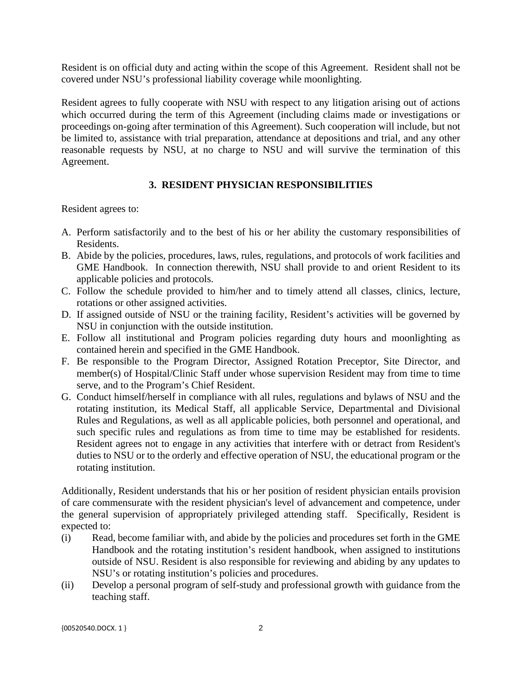Resident is on official duty and acting within the scope of this Agreement. Resident shall not be covered under NSU's professional liability coverage while moonlighting.

Resident agrees to fully cooperate with NSU with respect to any litigation arising out of actions which occurred during the term of this Agreement (including claims made or investigations or proceedings on-going after termination of this Agreement). Such cooperation will include, but not be limited to, assistance with trial preparation, attendance at depositions and trial, and any other reasonable requests by NSU, at no charge to NSU and will survive the termination of this Agreement.

# **3. RESIDENT PHYSICIAN RESPONSIBILITIES**

Resident agrees to:

- A. Perform satisfactorily and to the best of his or her ability the customary responsibilities of Residents.
- B. Abide by the policies, procedures, laws, rules, regulations, and protocols of work facilities and GME Handbook. In connection therewith, NSU shall provide to and orient Resident to its applicable policies and protocols.
- C. Follow the schedule provided to him/her and to timely attend all classes, clinics, lecture, rotations or other assigned activities.
- D. If assigned outside of NSU or the training facility, Resident's activities will be governed by NSU in conjunction with the outside institution.
- E. Follow all institutional and Program policies regarding duty hours and moonlighting as contained herein and specified in the GME Handbook.
- F. Be responsible to the Program Director, Assigned Rotation Preceptor, Site Director, and member(s) of Hospital/Clinic Staff under whose supervision Resident may from time to time serve, and to the Program's Chief Resident.
- G. Conduct himself/herself in compliance with all rules, regulations and bylaws of NSU and the rotating institution, its Medical Staff, all applicable Service, Departmental and Divisional Rules and Regulations, as well as all applicable policies, both personnel and operational, and such specific rules and regulations as from time to time may be established for residents. Resident agrees not to engage in any activities that interfere with or detract from Resident's duties to NSU or to the orderly and effective operation of NSU, the educational program or the rotating institution.

Additionally, Resident understands that his or her position of resident physician entails provision of care commensurate with the resident physician's level of advancement and competence, under the general supervision of appropriately privileged attending staff. Specifically, Resident is expected to:

- (i) Read, become familiar with, and abide by the policies and procedures set forth in the GME Handbook and the rotating institution's resident handbook, when assigned to institutions outside of NSU. Resident is also responsible for reviewing and abiding by any updates to NSU's or rotating institution's policies and procedures.
- (ii) Develop a personal program of self-study and professional growth with guidance from the teaching staff.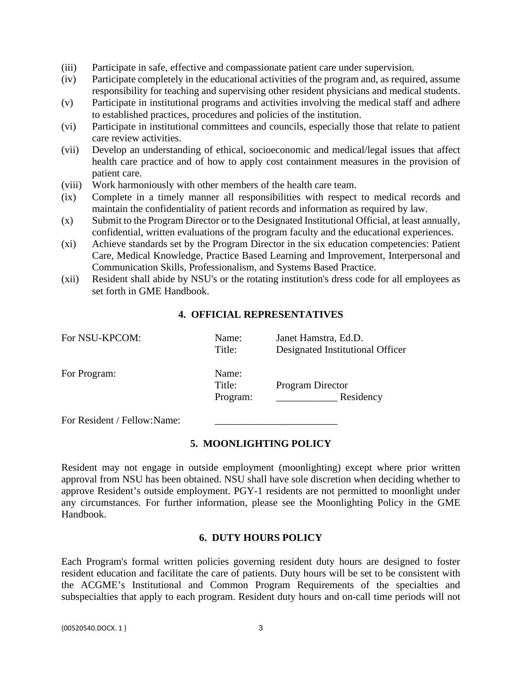- (iii) Participate in safe, effective and compassionate patient care under supervision.
- (iv) Participate completely in the educational activities of the program and, as required, assume responsibility for teaching and supervising other resident physicians and medical students.
- (v) Participate in institutional programs and activities involving the medical staff and adhere to established practices, procedures and policies of the institution.
- (vi) Participate in institutional committees and councils, especially those that relate to patient care review activities.
- (vii) Develop an understanding of ethical, socioeconomic and medical/legal issues that affect health care practice and of how to apply cost containment measures in the provision of patient care.
- (viii) Work harmoniously with other members of the health care team.
- (ix) Complete in a timely manner all responsibilities with respect to medical records and maintain the confidentiality of patient records and information as required by law.
- (x) Submit to the Program Director or to the Designated Institutional Official, at least annually, confidential, written evaluations of the program faculty and the educational experiences.
- (xi) Achieve standards set by the Program Director in the six education competencies: Patient Care, Medical Knowledge, Practice Based Learning and Improvement, Interpersonal and Communication Skills, Professionalism, and Systems Based Practice.
- (xii) Resident shall abide by NSU's or the rotating institution's dress code for all employees as set forth in GME Handbook.

### **4. OFFICIAL REPRESENTATIVES**

| For NSU-KPCOM:               | Name:<br>Title:             | Janet Hamstra, Ed.D.<br>Designated Institutional Officer |
|------------------------------|-----------------------------|----------------------------------------------------------|
| For Program:                 | Name:<br>Title:<br>Program: | Program Director<br>Residency                            |
| For Resident / Fellow: Name: |                             |                                                          |

### **5. MOONLIGHTING POLICY**

Resident may not engage in outside employment (moonlighting) except where prior written approval from NSU has been obtained. NSU shall have sole discretion when deciding whether to approve Resident's outside employment. PGY-1 residents are not permitted to moonlight under any circumstances. For further information, please see the Moonlighting Policy in the GME Handbook.

#### **6. DUTY HOURS POLICY**

Each Program's formal written policies governing resident duty hours are designed to foster resident education and facilitate the care of patients. Duty hours will be set to be consistent with the ACGME's Institutional and Common Program Requirements of the specialties and subspecialties that apply to each program. Resident duty hours and on-call time periods will not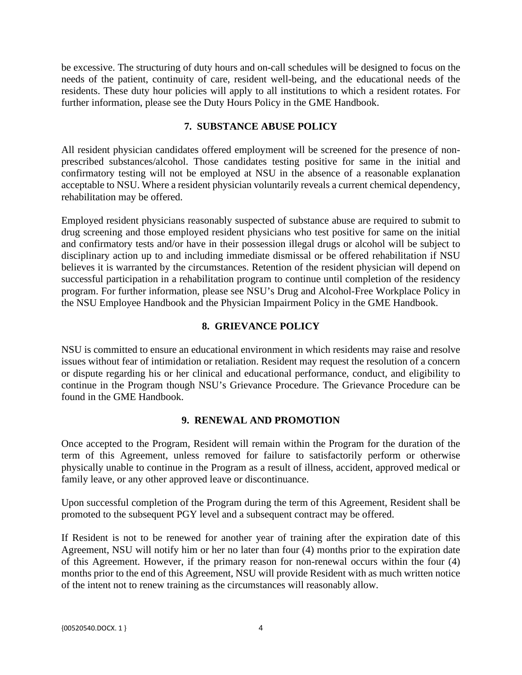be excessive. The structuring of duty hours and on-call schedules will be designed to focus on the needs of the patient, continuity of care, resident well-being, and the educational needs of the residents. These duty hour policies will apply to all institutions to which a resident rotates. For further information, please see the Duty Hours Policy in the GME Handbook.

### **7. SUBSTANCE ABUSE POLICY**

All resident physician candidates offered employment will be screened for the presence of nonprescribed substances/alcohol. Those candidates testing positive for same in the initial and confirmatory testing will not be employed at NSU in the absence of a reasonable explanation acceptable to NSU. Where a resident physician voluntarily reveals a current chemical dependency, rehabilitation may be offered.

Employed resident physicians reasonably suspected of substance abuse are required to submit to drug screening and those employed resident physicians who test positive for same on the initial and confirmatory tests and/or have in their possession illegal drugs or alcohol will be subject to disciplinary action up to and including immediate dismissal or be offered rehabilitation if NSU believes it is warranted by the circumstances. Retention of the resident physician will depend on successful participation in a rehabilitation program to continue until completion of the residency program. For further information, please see NSU's Drug and Alcohol-Free Workplace Policy in the NSU Employee Handbook and the Physician Impairment Policy in the GME Handbook.

### **8. GRIEVANCE POLICY**

NSU is committed to ensure an educational environment in which residents may raise and resolve issues without fear of intimidation or retaliation. Resident may request the resolution of a concern or dispute regarding his or her clinical and educational performance, conduct, and eligibility to continue in the Program though NSU's Grievance Procedure. The Grievance Procedure can be found in the GME Handbook.

# **9. RENEWAL AND PROMOTION**

Once accepted to the Program, Resident will remain within the Program for the duration of the term of this Agreement, unless removed for failure to satisfactorily perform or otherwise physically unable to continue in the Program as a result of illness, accident, approved medical or family leave, or any other approved leave or discontinuance.

Upon successful completion of the Program during the term of this Agreement, Resident shall be promoted to the subsequent PGY level and a subsequent contract may be offered.

If Resident is not to be renewed for another year of training after the expiration date of this Agreement, NSU will notify him or her no later than four (4) months prior to the expiration date of this Agreement. However, if the primary reason for non-renewal occurs within the four (4) months prior to the end of this Agreement, NSU will provide Resident with as much written notice of the intent not to renew training as the circumstances will reasonably allow.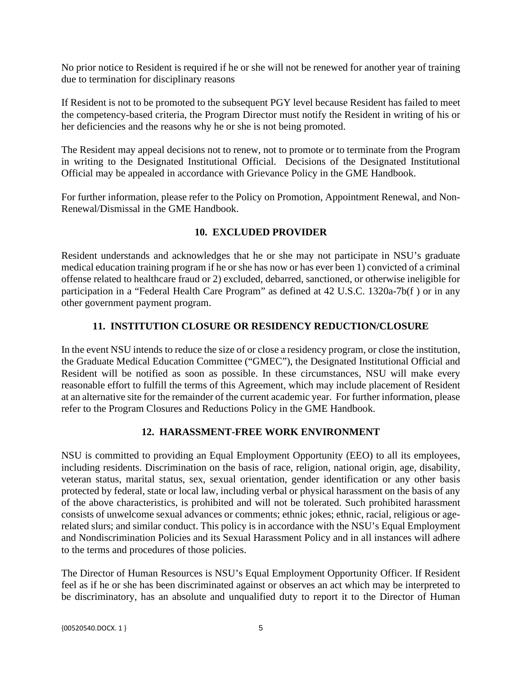No prior notice to Resident is required if he or she will not be renewed for another year of training due to termination for disciplinary reasons

If Resident is not to be promoted to the subsequent PGY level because Resident has failed to meet the competency-based criteria, the Program Director must notify the Resident in writing of his or her deficiencies and the reasons why he or she is not being promoted.

The Resident may appeal decisions not to renew, not to promote or to terminate from the Program in writing to the Designated Institutional Official. Decisions of the Designated Institutional Official may be appealed in accordance with Grievance Policy in the GME Handbook.

For further information, please refer to the Policy on Promotion, Appointment Renewal, and Non-Renewal/Dismissal in the GME Handbook.

# **10. EXCLUDED PROVIDER**

Resident understands and acknowledges that he or she may not participate in NSU's graduate medical education training program if he or she has now or has ever been 1) convicted of a criminal offense related to healthcare fraud or 2) excluded, debarred, sanctioned, or otherwise ineligible for participation in a "Federal Health Care Program" as defined at 42 U.S.C. 1320a-7b(f ) or in any other government payment program.

# **11. INSTITUTION CLOSURE OR RESIDENCY REDUCTION/CLOSURE**

In the event NSU intends to reduce the size of or close a residency program, or close the institution, the Graduate Medical Education Committee ("GMEC"), the Designated Institutional Official and Resident will be notified as soon as possible. In these circumstances, NSU will make every reasonable effort to fulfill the terms of this Agreement, which may include placement of Resident at an alternative site for the remainder of the current academic year. For further information, please refer to the Program Closures and Reductions Policy in the GME Handbook.

# **12. HARASSMENT-FREE WORK ENVIRONMENT**

NSU is committed to providing an Equal Employment Opportunity (EEO) to all its employees, including residents. Discrimination on the basis of race, religion, national origin, age, disability, veteran status, marital status, sex, sexual orientation, gender identification or any other basis protected by federal, state or local law, including verbal or physical harassment on the basis of any of the above characteristics, is prohibited and will not be tolerated. Such prohibited harassment consists of unwelcome sexual advances or comments; ethnic jokes; ethnic, racial, religious or agerelated slurs; and similar conduct. This policy is in accordance with the NSU's Equal Employment and Nondiscrimination Policies and its Sexual Harassment Policy and in all instances will adhere to the terms and procedures of those policies.

The Director of Human Resources is NSU's Equal Employment Opportunity Officer. If Resident feel as if he or she has been discriminated against or observes an act which may be interpreted to be discriminatory, has an absolute and unqualified duty to report it to the Director of Human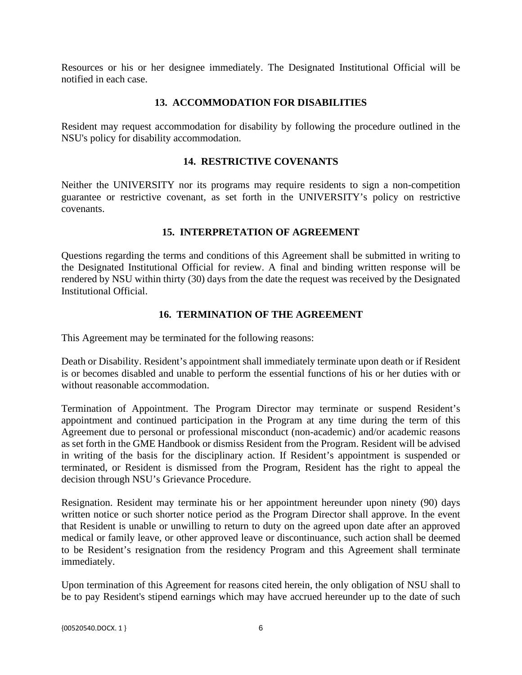Resources or his or her designee immediately. The Designated Institutional Official will be notified in each case.

### **13. ACCOMMODATION FOR DISABILITIES**

Resident may request accommodation for disability by following the procedure outlined in the NSU's policy for disability accommodation.

## **14. RESTRICTIVE COVENANTS**

Neither the UNIVERSITY nor its programs may require residents to sign a non-competition guarantee or restrictive covenant, as set forth in the UNIVERSITY's policy on restrictive covenants.

# **15. INTERPRETATION OF AGREEMENT**

Questions regarding the terms and conditions of this Agreement shall be submitted in writing to the Designated Institutional Official for review. A final and binding written response will be rendered by NSU within thirty (30) days from the date the request was received by the Designated Institutional Official.

### **16. TERMINATION OF THE AGREEMENT**

This Agreement may be terminated for the following reasons:

Death or Disability. Resident's appointment shall immediately terminate upon death or if Resident is or becomes disabled and unable to perform the essential functions of his or her duties with or without reasonable accommodation.

Termination of Appointment. The Program Director may terminate or suspend Resident's appointment and continued participation in the Program at any time during the term of this Agreement due to personal or professional misconduct (non-academic) and/or academic reasons as set forth in the GME Handbook or dismiss Resident from the Program. Resident will be advised in writing of the basis for the disciplinary action. If Resident's appointment is suspended or terminated, or Resident is dismissed from the Program, Resident has the right to appeal the decision through NSU's Grievance Procedure.

Resignation. Resident may terminate his or her appointment hereunder upon ninety (90) days written notice or such shorter notice period as the Program Director shall approve. In the event that Resident is unable or unwilling to return to duty on the agreed upon date after an approved medical or family leave, or other approved leave or discontinuance, such action shall be deemed to be Resident's resignation from the residency Program and this Agreement shall terminate immediately.

Upon termination of this Agreement for reasons cited herein, the only obligation of NSU shall to be to pay Resident's stipend earnings which may have accrued hereunder up to the date of such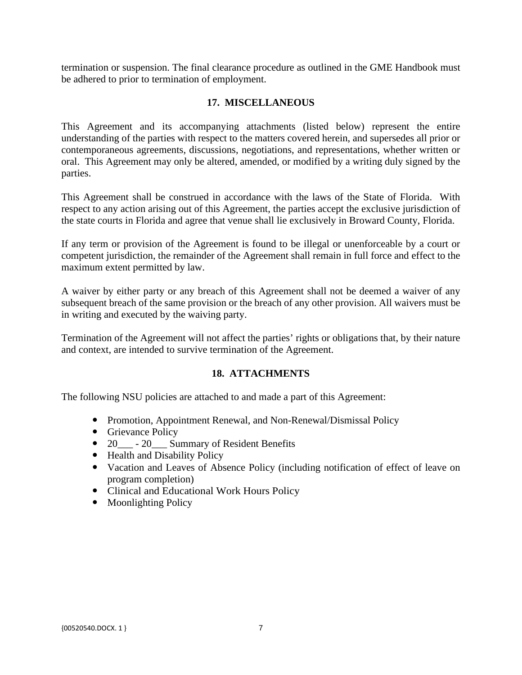termination or suspension. The final clearance procedure as outlined in the GME Handbook must be adhered to prior to termination of employment.

### **17. MISCELLANEOUS**

This Agreement and its accompanying attachments (listed below) represent the entire understanding of the parties with respect to the matters covered herein, and supersedes all prior or contemporaneous agreements, discussions, negotiations, and representations, whether written or oral. This Agreement may only be altered, amended, or modified by a writing duly signed by the parties.

This Agreement shall be construed in accordance with the laws of the State of Florida. With respect to any action arising out of this Agreement, the parties accept the exclusive jurisdiction of the state courts in Florida and agree that venue shall lie exclusively in Broward County, Florida.

If any term or provision of the Agreement is found to be illegal or unenforceable by a court or competent jurisdiction, the remainder of the Agreement shall remain in full force and effect to the maximum extent permitted by law.

A waiver by either party or any breach of this Agreement shall not be deemed a waiver of any subsequent breach of the same provision or the breach of any other provision. All waivers must be in writing and executed by the waiving party.

Termination of the Agreement will not affect the parties' rights or obligations that, by their nature and context, are intended to survive termination of the Agreement.

# **18. ATTACHMENTS**

The following NSU policies are attached to and made a part of this Agreement:

- Promotion, Appointment Renewal, and Non-Renewal/Dismissal Policy
- Grievance Policy
- 20\_\_\_ 20\_\_\_ Summary of Resident Benefits
- Health and Disability Policy
- Vacation and Leaves of Absence Policy (including notification of effect of leave on program completion)
- Clinical and Educational Work Hours Policy
- Moonlighting Policy